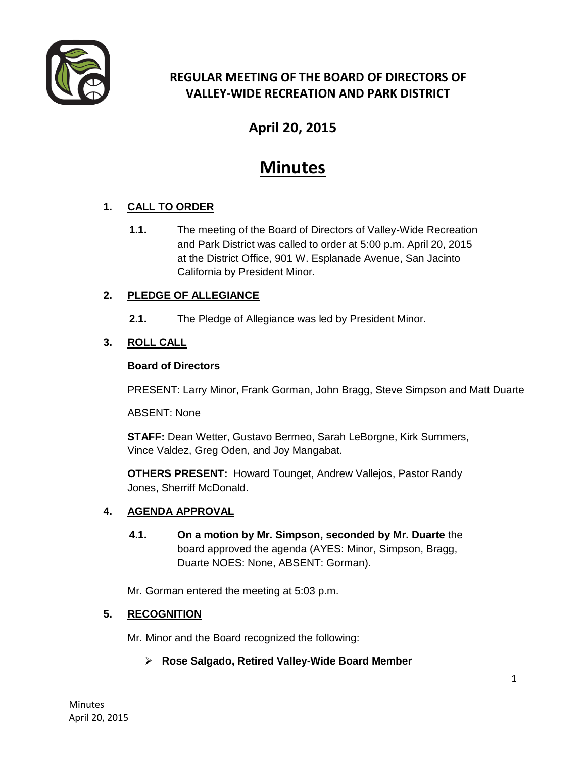

### **REGULAR MEETING OF THE BOARD OF DIRECTORS OF VALLEY-WIDE RECREATION AND PARK DISTRICT**

## **April 20, 2015**

# **Minutes**

#### **1. CALL TO ORDER**

**1.1.** The meeting of the Board of Directors of Valley-Wide Recreation and Park District was called to order at 5:00 p.m. April 20, 2015 at the District Office, 901 W. Esplanade Avenue, San Jacinto California by President Minor.

#### **2. PLEDGE OF ALLEGIANCE**

**2.1.** The Pledge of Allegiance was led by President Minor.

#### **3. ROLL CALL**

#### **Board of Directors**

PRESENT: Larry Minor, Frank Gorman, John Bragg, Steve Simpson and Matt Duarte

ABSENT: None

**STAFF:** Dean Wetter, Gustavo Bermeo, Sarah LeBorgne, Kirk Summers, Vince Valdez, Greg Oden, and Joy Mangabat.

**OTHERS PRESENT:** Howard Tounget, Andrew Vallejos, Pastor Randy Jones, Sherriff McDonald.

#### **4. AGENDA APPROVAL**

**4.1. On a motion by Mr. Simpson, seconded by Mr. Duarte** the board approved the agenda (AYES: Minor, Simpson, Bragg, Duarte NOES: None, ABSENT: Gorman).

Mr. Gorman entered the meeting at 5:03 p.m.

#### **5. RECOGNITION**

Mr. Minor and the Board recognized the following:

#### **Rose Salgado, Retired Valley-Wide Board Member**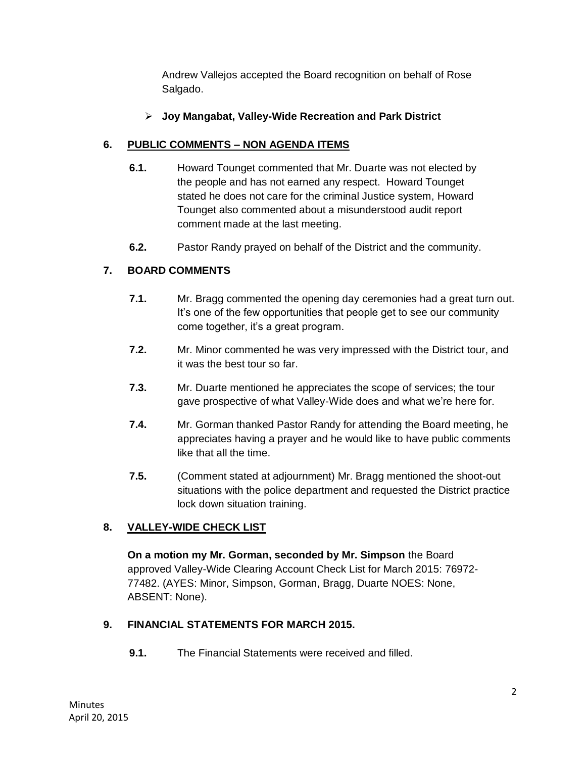Andrew Vallejos accepted the Board recognition on behalf of Rose Salgado.

#### **Joy Mangabat, Valley-Wide Recreation and Park District**

#### **6. PUBLIC COMMENTS – NON AGENDA ITEMS**

- **6.1.** Howard Tounget commented that Mr. Duarte was not elected by the people and has not earned any respect. Howard Tounget stated he does not care for the criminal Justice system, Howard Tounget also commented about a misunderstood audit report comment made at the last meeting.
- **6.2.** Pastor Randy prayed on behalf of the District and the community.

#### **7. BOARD COMMENTS**

- **7.1.** Mr. Bragg commented the opening day ceremonies had a great turn out. It's one of the few opportunities that people get to see our community come together, it's a great program.
- **7.2.** Mr. Minor commented he was very impressed with the District tour, and it was the best tour so far.
- **7.3.** Mr. Duarte mentioned he appreciates the scope of services; the tour gave prospective of what Valley-Wide does and what we're here for.
- **7.4.** Mr. Gorman thanked Pastor Randy for attending the Board meeting, he appreciates having a prayer and he would like to have public comments like that all the time.
- **7.5.** (Comment stated at adjournment) Mr. Bragg mentioned the shoot-out situations with the police department and requested the District practice lock down situation training.

#### **8. VALLEY-WIDE CHECK LIST**

**On a motion my Mr. Gorman, seconded by Mr. Simpson** the Board approved Valley-Wide Clearing Account Check List for March 2015: 76972- 77482. (AYES: Minor, Simpson, Gorman, Bragg, Duarte NOES: None, ABSENT: None).

#### **9. FINANCIAL STATEMENTS FOR MARCH 2015.**

**9.1.** The Financial Statements were received and filled.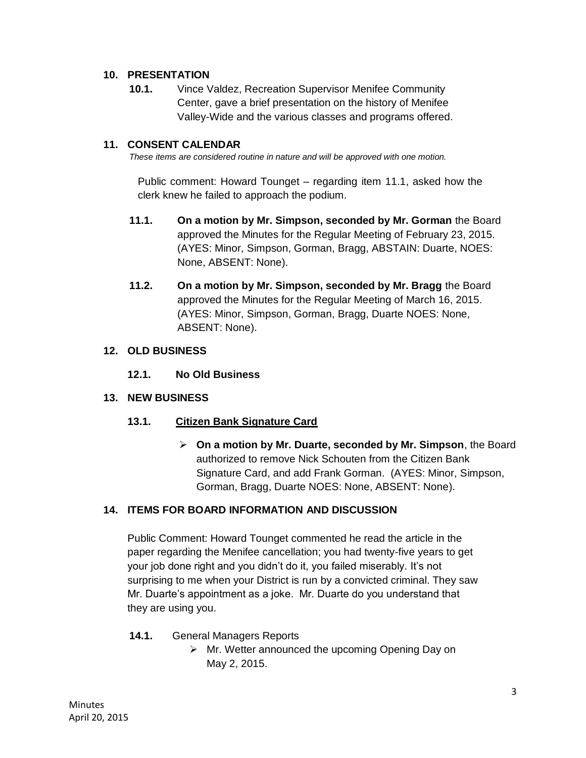#### **10. PRESENTATION**

**10.1.** Vince Valdez, Recreation Supervisor Menifee Community Center, gave a brief presentation on the history of Menifee Valley-Wide and the various classes and programs offered.

#### **11. CONSENT CALENDAR**

*These items are considered routine in nature and will be approved with one motion.* 

Public comment: Howard Tounget – regarding item 11.1, asked how the clerk knew he failed to approach the podium.

- **11.1. On a motion by Mr. Simpson, seconded by Mr. Gorman** the Board approved the Minutes for the Regular Meeting of February 23, 2015. (AYES: Minor, Simpson, Gorman, Bragg, ABSTAIN: Duarte, NOES: None, ABSENT: None).
- **11.2. On a motion by Mr. Simpson, seconded by Mr. Bragg** the Board approved the Minutes for the Regular Meeting of March 16, 2015. (AYES: Minor, Simpson, Gorman, Bragg, Duarte NOES: None, ABSENT: None).

#### **12. OLD BUSINESS**

**12.1. No Old Business** 

#### **13. NEW BUSINESS**

#### **13.1. Citizen Bank Signature Card**

 **On a motion by Mr. Duarte, seconded by Mr. Simpson**, the Board authorized to remove Nick Schouten from the Citizen Bank Signature Card, and add Frank Gorman. (AYES: Minor, Simpson, Gorman, Bragg, Duarte NOES: None, ABSENT: None).

#### **14. ITEMS FOR BOARD INFORMATION AND DISCUSSION**

Public Comment: Howard Tounget commented he read the article in the paper regarding the Menifee cancellation; you had twenty-five years to get your job done right and you didn't do it, you failed miserably. It's not surprising to me when your District is run by a convicted criminal. They saw Mr. Duarte's appointment as a joke. Mr. Duarte do you understand that they are using you.

- **14.1.** General Managers Reports
	- $\triangleright$  Mr. Wetter announced the upcoming Opening Day on May 2, 2015.